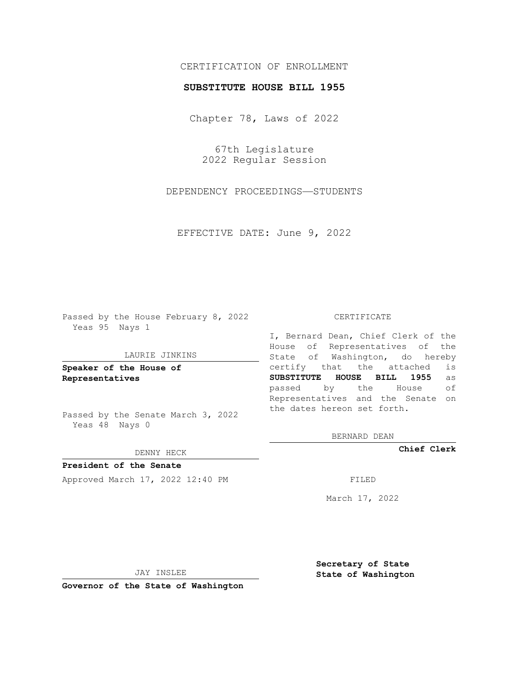# CERTIFICATION OF ENROLLMENT

### **SUBSTITUTE HOUSE BILL 1955**

Chapter 78, Laws of 2022

67th Legislature 2022 Regular Session

DEPENDENCY PROCEEDINGS—STUDENTS

EFFECTIVE DATE: June 9, 2022

Passed by the House February 8, 2022 Yeas 95 Nays 1

#### LAURIE JINKINS

**Speaker of the House of Representatives**

Passed by the Senate March 3, 2022 Yeas 48 Nays 0

### DENNY HECK

**President of the Senate** Approved March 17, 2022 12:40 PM

#### CERTIFICATE

I, Bernard Dean, Chief Clerk of the House of Representatives of the State of Washington, do hereby certify that the attached is **SUBSTITUTE HOUSE BILL 1955** as passed by the House of Representatives and the Senate on the dates hereon set forth.

BERNARD DEAN

**Chief Clerk**

March 17, 2022

JAY INSLEE

**Governor of the State of Washington**

**Secretary of State State of Washington**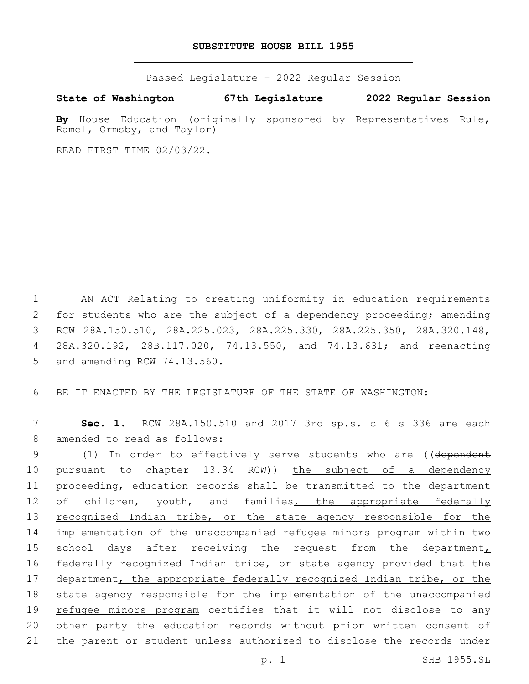## **SUBSTITUTE HOUSE BILL 1955**

Passed Legislature - 2022 Regular Session

**State of Washington 67th Legislature 2022 Regular Session**

By House Education (originally sponsored by Representatives Rule, Ramel, Ormsby, and Taylor)

READ FIRST TIME 02/03/22.

1 AN ACT Relating to creating uniformity in education requirements 2 for students who are the subject of a dependency proceeding; amending 3 RCW 28A.150.510, 28A.225.023, 28A.225.330, 28A.225.350, 28A.320.148, 4 28A.320.192, 28B.117.020, 74.13.550, and 74.13.631; and reenacting 5 and amending RCW 74.13.560.

6 BE IT ENACTED BY THE LEGISLATURE OF THE STATE OF WASHINGTON:

7 **Sec. 1.** RCW 28A.150.510 and 2017 3rd sp.s. c 6 s 336 are each 8 amended to read as follows:

9 (1) In order to effectively serve students who are ((dependent 10 pursuant to chapter 13.34 RCW)) the subject of a dependency 11 proceeding, education records shall be transmitted to the department 12 of children, youth, and families, the appropriate federally 13 recognized Indian tribe, or the state agency responsible for the 14 implementation of the unaccompanied refugee minors program within two 15 school days after receiving the request from the department $<sub>L</sub>$ </sub> 16 federally recognized Indian tribe, or state agency provided that the 17 department, the appropriate federally recognized Indian tribe, or the 18 state agency responsible for the implementation of the unaccompanied 19 refugee minors program certifies that it will not disclose to any 20 other party the education records without prior written consent of 21 the parent or student unless authorized to disclose the records under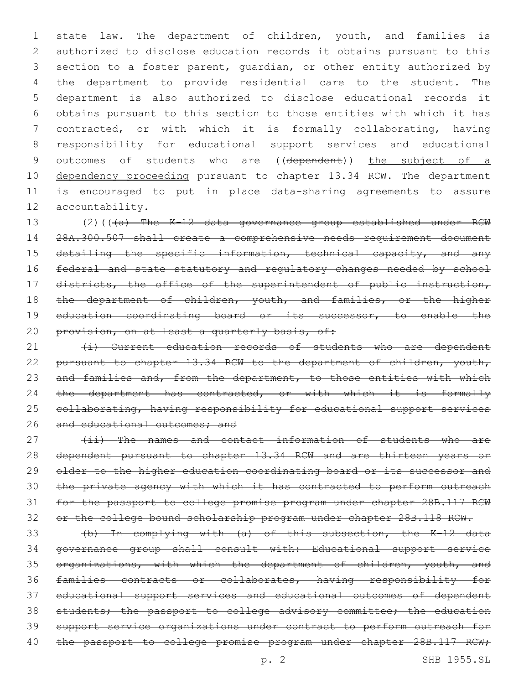state law. The department of children, youth, and families is authorized to disclose education records it obtains pursuant to this section to a foster parent, guardian, or other entity authorized by the department to provide residential care to the student. The department is also authorized to disclose educational records it obtains pursuant to this section to those entities with which it has contracted, or with which it is formally collaborating, having responsibility for educational support services and educational 9 outcomes of students who are ((dependent)) the subject of a 10 dependency proceeding pursuant to chapter 13.34 RCW. The department is encouraged to put in place data-sharing agreements to assure 12 accountability.

13 (2)(((a) The K-12 data governance group established under RCW 14 28A.300.507 shall create a comprehensive needs requirement document 15 detailing the specific information, technical capacity, and any 16 federal and state statutory and regulatory changes needed by school 17 districts, the office of the superintendent of public instruction, 18 the department of children, youth, and families, or the higher 19 education coordinating board or its successor, to enable the 20 provision, on at least a quarterly basis, of:

21 (i) Current education records of students who are dependent 22 pursuant to chapter 13.34 RCW to the department of children, youth, 23 and families and, from the department, to those entities with which 24 the department has contracted, or with which it is formally 25 collaborating, having responsibility for educational support services 26 and educational outcomes; and

27 (ii) The names and contact information of students who are dependent pursuant to chapter 13.34 RCW and are thirteen years or 29 older to the higher education coordinating board or its successor and the private agency with which it has contracted to perform outreach for the passport to college promise program under chapter 28B.117 RCW or the college bound scholarship program under chapter 28B.118 RCW.

 (b) In complying with (a) of this subsection, the K-12 data governance group shall consult with: Educational support service 35 organizations, with which the department of children, youth, and families contracts or collaborates, having responsibility for educational support services and educational outcomes of dependent 38 students; the passport to college advisory committee; the education support service organizations under contract to perform outreach for 40 the passport to college promise program under chapter 28B.117 RCW;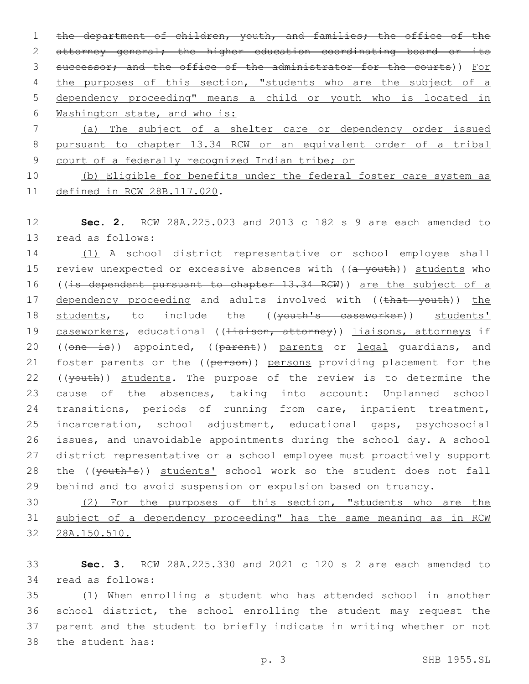1 the department of children, youth, and families; the office of the 2 attorney general; the higher education coordinating board or its 3 successor; and the office of the administrator for the courts)) For 4 the purposes of this section, "students who are the subject of a 5 dependency proceeding" means a child or youth who is located in 6 Washington state, and who is: 7 (a) The subject of a shelter care or dependency order issued

8 pursuant to chapter 13.34 RCW or an equivalent order of a tribal 9 court of a federally recognized Indian tribe; or

10 (b) Eligible for benefits under the federal foster care system as 11 defined in RCW 28B.117.020.

12 **Sec. 2.** RCW 28A.225.023 and 2013 c 182 s 9 are each amended to 13 read as follows:

14 (1) A school district representative or school employee shall 15 review unexpected or excessive absences with ((a youth)) students who 16 ((is dependent pursuant to chapter 13.34 RCW)) are the subject of a 17 dependency proceeding and adults involved with ((that youth)) the 18 students, to include the ((youth's caseworker)) students' 19 caseworkers, educational ((Hiaison, attorney)) liaisons, attorneys if 20 ((one is)) appointed, ((parent)) parents or legal guardians, and 21 foster parents or the ((person)) persons providing placement for the 22 ((youth)) students. The purpose of the review is to determine the 23 cause of the absences, taking into account: Unplanned school 24 transitions, periods of running from care, inpatient treatment, 25 incarceration, school adjustment, educational gaps, psychosocial 26 issues, and unavoidable appointments during the school day. A school 27 district representative or a school employee must proactively support 28 the ((youth's)) students' school work so the student does not fall 29 behind and to avoid suspension or expulsion based on truancy.

30 (2) For the purposes of this section, "students who are the 31 subject of a dependency proceeding" has the same meaning as in RCW 32 28A.150.510.

33 **Sec. 3.** RCW 28A.225.330 and 2021 c 120 s 2 are each amended to 34 read as follows:

 (1) When enrolling a student who has attended school in another school district, the school enrolling the student may request the parent and the student to briefly indicate in writing whether or not 38 the student has: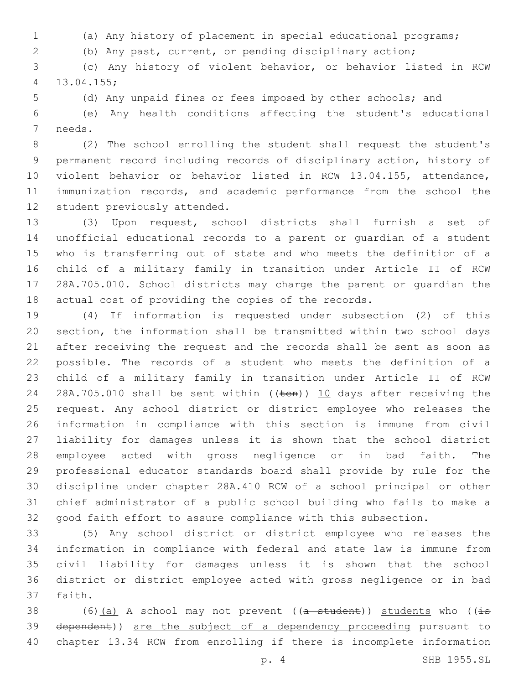- (a) Any history of placement in special educational programs;
- (b) Any past, current, or pending disciplinary action;

 (c) Any history of violent behavior, or behavior listed in RCW 13.04.155;4

(d) Any unpaid fines or fees imposed by other schools; and

 (e) Any health conditions affecting the student's educational 7 needs.

 (2) The school enrolling the student shall request the student's permanent record including records of disciplinary action, history of violent behavior or behavior listed in RCW 13.04.155, attendance, immunization records, and academic performance from the school the 12 student previously attended.

 (3) Upon request, school districts shall furnish a set of unofficial educational records to a parent or guardian of a student who is transferring out of state and who meets the definition of a child of a military family in transition under Article II of RCW 28A.705.010. School districts may charge the parent or guardian the actual cost of providing the copies of the records.

 (4) If information is requested under subsection (2) of this section, the information shall be transmitted within two school days after receiving the request and the records shall be sent as soon as possible. The records of a student who meets the definition of a child of a military family in transition under Article II of RCW 24 28A.705.010 shall be sent within ((ten)) 10 days after receiving the request. Any school district or district employee who releases the information in compliance with this section is immune from civil liability for damages unless it is shown that the school district employee acted with gross negligence or in bad faith. The professional educator standards board shall provide by rule for the discipline under chapter 28A.410 RCW of a school principal or other chief administrator of a public school building who fails to make a good faith effort to assure compliance with this subsection.

 (5) Any school district or district employee who releases the information in compliance with federal and state law is immune from civil liability for damages unless it is shown that the school district or district employee acted with gross negligence or in bad 37 faith.

38 (6)(a) A school may not prevent ( $(a - student)$ ) students who ( $(i\text{-}s$ 39 dependent)) are the subject of a dependency proceeding pursuant to chapter 13.34 RCW from enrolling if there is incomplete information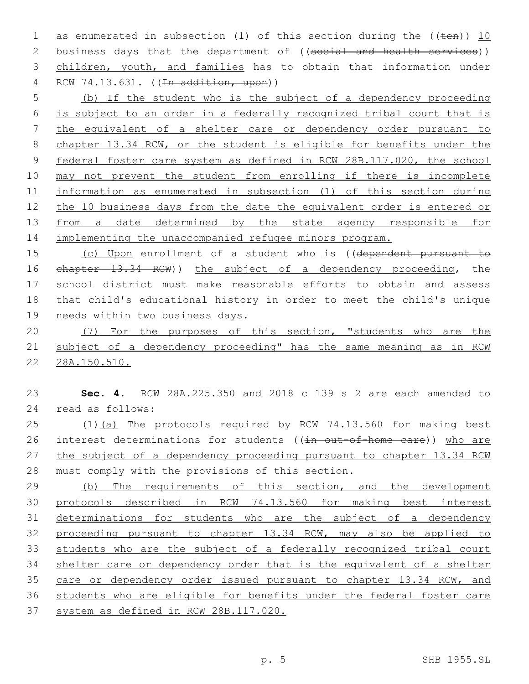1 as enumerated in subsection (1) of this section during the  $((\text{ten}))$  10 2 business days that the department of ((social and health services)) children, youth, and families has to obtain that information under 4 RCW 74.13.631. ((<del>In addition, upon</del>))

 (b) If the student who is the subject of a dependency proceeding is subject to an order in a federally recognized tribal court that is the equivalent of a shelter care or dependency order pursuant to chapter 13.34 RCW, or the student is eligible for benefits under the federal foster care system as defined in RCW 28B.117.020, the school may not prevent the student from enrolling if there is incomplete information as enumerated in subsection (1) of this section during the 10 business days from the date the equivalent order is entered or 13 from a date determined by the state agency responsible for implementing the unaccompanied refugee minors program.

 (c) Upon enrollment of a student who is ((dependent pursuant to chapter 13.34 RCW)) the subject of a dependency proceeding, the school district must make reasonable efforts to obtain and assess that child's educational history in order to meet the child's unique 19 needs within two business days.

20 (7) For the purposes of this section, "students who are the subject of a dependency proceeding" has the same meaning as in RCW 28A.150.510.

 **Sec. 4.** RCW 28A.225.350 and 2018 c 139 s 2 are each amended to read as follows:24

25 (1)(a) The protocols required by RCW 74.13.560 for making best 26 interest determinations for students ((in out-of-home care)) who are 27 the subject of a dependency proceeding pursuant to chapter 13.34 RCW 28 must comply with the provisions of this section.

29 (b) The requirements of this section, and the development protocols described in RCW 74.13.560 for making best interest 31 determinations for students who are the subject of a dependency proceeding pursuant to chapter 13.34 RCW, may also be applied to students who are the subject of a federally recognized tribal court shelter care or dependency order that is the equivalent of a shelter 35 care or dependency order issued pursuant to chapter 13.34 RCW, and students who are eligible for benefits under the federal foster care system as defined in RCW 28B.117.020.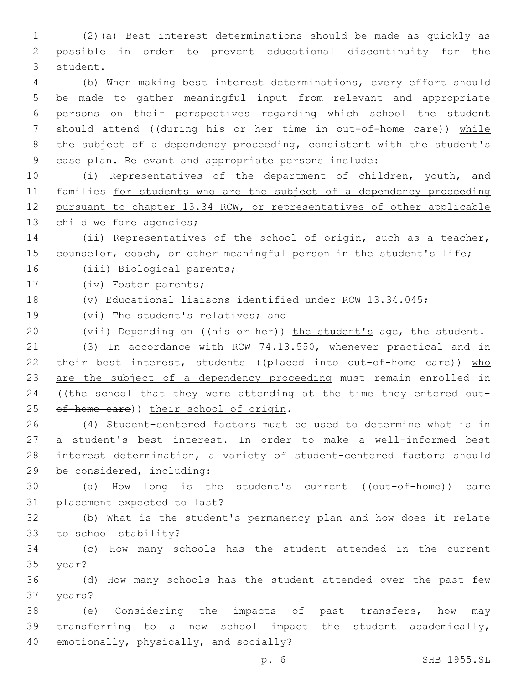1 (2)(a) Best interest determinations should be made as quickly as 2 possible in order to prevent educational discontinuity for the 3 student.

 (b) When making best interest determinations, every effort should be made to gather meaningful input from relevant and appropriate persons on their perspectives regarding which school the student 7 should attend ((during his or her time in out-of-home care)) while 8 the subject of a dependency proceeding, consistent with the student's case plan. Relevant and appropriate persons include:

 (i) Representatives of the department of children, youth, and families for students who are the subject of a dependency proceeding pursuant to chapter 13.34 RCW, or representatives of other applicable 13 child welfare agencies;

14 (ii) Representatives of the school of origin, such as a teacher, 15 counselor, coach, or other meaningful person in the student's life;

16 (iii) Biological parents;

17 (iv) Foster parents;

18 (v) Educational liaisons identified under RCW 13.34.045;

19 (vi) The student's relatives; and

20 (vii) Depending on ((his or her)) the student's age, the student.

21 (3) In accordance with RCW 74.13.550, whenever practical and in 22 their best interest, students ((placed into out-of-home care)) who 23 are the subject of a dependency proceeding must remain enrolled in 24 ((the school that they were attending at the time they entered out-25 of-home care)) their school of origin.

 (4) Student-centered factors must be used to determine what is in a student's best interest. In order to make a well-informed best interest determination, a variety of student-centered factors should 29 be considered, including:

30 (a) How long is the student's current ((out-of-home)) care 31 placement expected to last?

32 (b) What is the student's permanency plan and how does it relate 33 to school stability?

34 (c) How many schools has the student attended in the current 35 year?

36 (d) How many schools has the student attended over the past few 37 years?

38 (e) Considering the impacts of past transfers, how may 39 transferring to a new school impact the student academically, 40 emotionally, physically, and socially?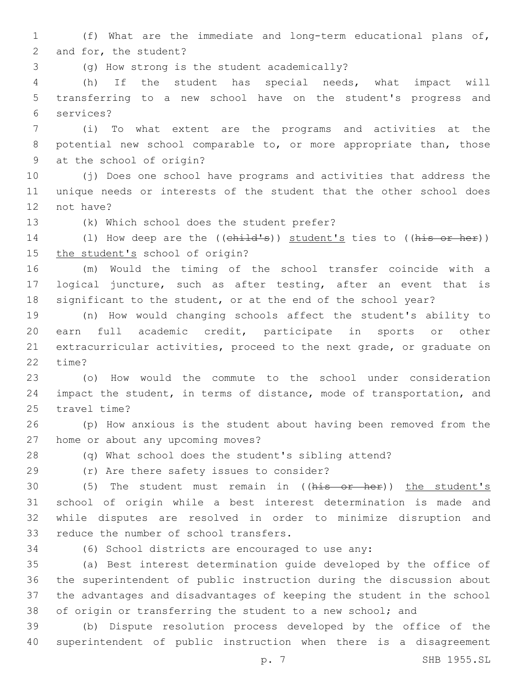1 (f) What are the immediate and long-term educational plans of, 2 and for, the student?

(g) How strong is the student academically?3

4 (h) If the student has special needs, what impact will 5 transferring to a new school have on the student's progress and services?6

7 (i) To what extent are the programs and activities at the 8 potential new school comparable to, or more appropriate than, those 9 at the school of origin?

10 (j) Does one school have programs and activities that address the 11 unique needs or interests of the student that the other school does 12 not have?

13 (k) Which school does the student prefer?

14 (1) How deep are the ((child's)) student's ties to ((his or her)) 15 the student's school of origin?

16 (m) Would the timing of the school transfer coincide with a 17 logical juncture, such as after testing, after an event that is 18 significant to the student, or at the end of the school year?

 (n) How would changing schools affect the student's ability to earn full academic credit, participate in sports or other extracurricular activities, proceed to the next grade, or graduate on 22 time?

23 (o) How would the commute to the school under consideration 24 impact the student, in terms of distance, mode of transportation, and 25 travel time?

26 (p) How anxious is the student about having been removed from the 27 home or about any upcoming moves?

28 (q) What school does the student's sibling attend?

(r) Are there safety issues to consider?29

30 (5) The student must remain in ((his or her)) the student's 31 school of origin while a best interest determination is made and 32 while disputes are resolved in order to minimize disruption and 33 reduce the number of school transfers.

34 (6) School districts are encouraged to use any:

 (a) Best interest determination guide developed by the office of the superintendent of public instruction during the discussion about the advantages and disadvantages of keeping the student in the school 38 of origin or transferring the student to a new school; and

39 (b) Dispute resolution process developed by the office of the 40 superintendent of public instruction when there is a disagreement

p. 7 SHB 1955.SL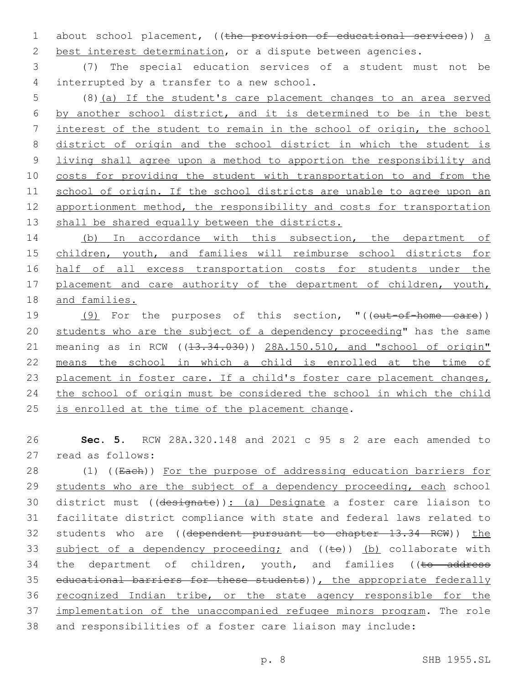1 about school placement, ((the provision of educational services)) a 2 best interest determination, or a dispute between agencies.

3 (7) The special education services of a student must not be 4 interrupted by a transfer to a new school.

 (8)(a) If the student's care placement changes to an area served by another school district, and it is determined to be in the best interest of the student to remain in the school of origin, the school district of origin and the school district in which the student is living shall agree upon a method to apportion the responsibility and costs for providing the student with transportation to and from the school of origin. If the school districts are unable to agree upon an 12 apportionment method, the responsibility and costs for transportation 13 shall be shared equally between the districts.

14 (b) In accordance with this subsection, the department of 15 children, youth, and families will reimburse school districts for 16 half of all excess transportation costs for students under the 17 placement and care authority of the department of children, youth, 18 and families.

19 (9) For the purposes of this section, "((out-of-home care)) 20 students who are the subject of a dependency proceeding" has the same 21 meaning as in RCW ((13.34.030)) 28A.150.510, and "school of origin" 22 means the school in which a child is enrolled at the time of 23 placement in foster care. If a child's foster care placement changes, 24 the school of origin must be considered the school in which the child 25 is enrolled at the time of the placement change.

26 **Sec. 5.** RCW 28A.320.148 and 2021 c 95 s 2 are each amended to 27 read as follows:

28 (1) ((Each)) For the purpose of addressing education barriers for 29 students who are the subject of a dependency proceeding, each school 30 district must ((designate)): (a) Designate a foster care liaison to 31 facilitate district compliance with state and federal laws related to 32 students who are ((dependent pursuant to chapter 13.34 RCW)) the 33 subject of a dependency proceeding; and  $((\pm e))$  (b) collaborate with 34 the department of children, youth, and families ((to address 35 educational barriers for these students)), the appropriate federally 36 recognized Indian tribe, or the state agency responsible for the 37 implementation of the unaccompanied refugee minors program. The role 38 and responsibilities of a foster care liaison may include: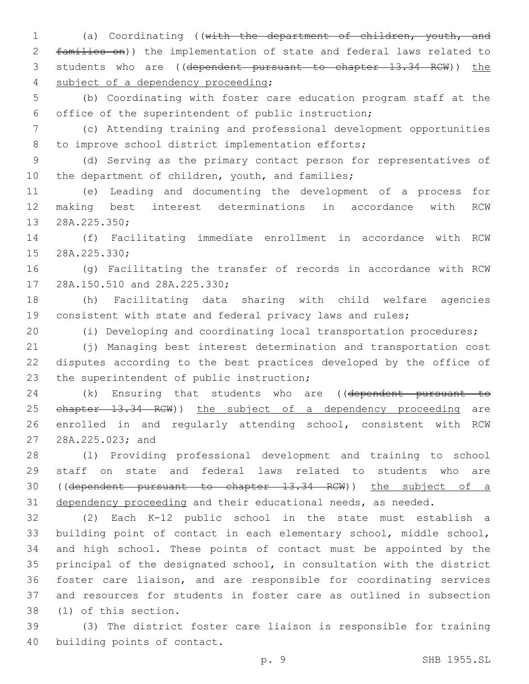(a) Coordinating ((with the department of children, youth, and families on)) the implementation of state and federal laws related to 3 students who are ((dependent pursuant to chapter 13.34 RCW)) the 4 subject of a dependency proceeding;

 (b) Coordinating with foster care education program staff at the office of the superintendent of public instruction;

 (c) Attending training and professional development opportunities 8 to improve school district implementation efforts;

 (d) Serving as the primary contact person for representatives of 10 the department of children, youth, and families;

 (e) Leading and documenting the development of a process for making best interest determinations in accordance with RCW 13 28A.225.350;

 (f) Facilitating immediate enrollment in accordance with RCW 15 28A.225.330;

 (g) Facilitating the transfer of records in accordance with RCW 17 28A.150.510 and 28A.225.330;

 (h) Facilitating data sharing with child welfare agencies consistent with state and federal privacy laws and rules;

(i) Developing and coordinating local transportation procedures;

 (j) Managing best interest determination and transportation cost disputes according to the best practices developed by the office of 23 the superintendent of public instruction;

24 (k) Ensuring that students who are ((dependent pursuant to 25 ehapter 13.34 RCW)) the subject of a dependency proceeding are enrolled in and regularly attending school, consistent with RCW 27 28A.225.023; and

 (l) Providing professional development and training to school staff on state and federal laws related to students who are ((dependent pursuant to chapter 13.34 RCW)) the subject of a 31 dependency proceeding and their educational needs, as needed.

 (2) Each K-12 public school in the state must establish a building point of contact in each elementary school, middle school, and high school. These points of contact must be appointed by the principal of the designated school, in consultation with the district foster care liaison, and are responsible for coordinating services and resources for students in foster care as outlined in subsection 38 (1) of this section.

 (3) The district foster care liaison is responsible for training 40 building points of contact.

p. 9 SHB 1955.SL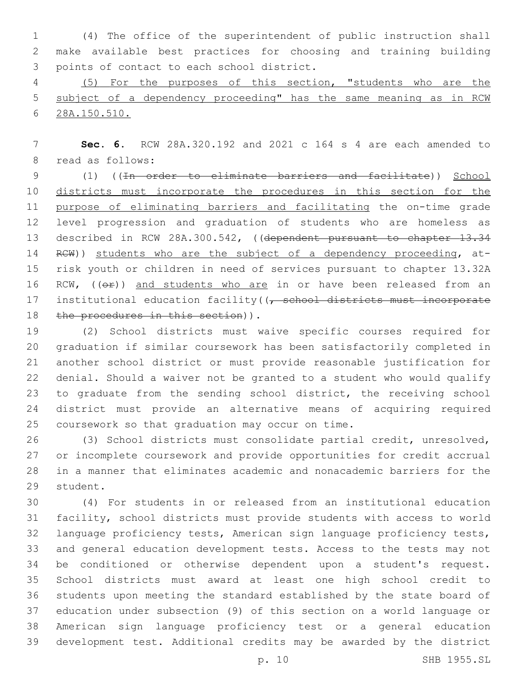(4) The office of the superintendent of public instruction shall make available best practices for choosing and training building 3 points of contact to each school district.

 (5) For the purposes of this section, "students who are the subject of a dependency proceeding" has the same meaning as in RCW 28A.150.510.

 **Sec. 6.** RCW 28A.320.192 and 2021 c 164 s 4 are each amended to 8 read as follows:

 (1) ((In order to eliminate barriers and facilitate)) School districts must incorporate the procedures in this section for the purpose of eliminating barriers and facilitating the on-time grade level progression and graduation of students who are homeless as 13 described in RCW 28A.300.542, ((dependent pursuant to chapter 13.34 14 RCW)) students who are the subject of a dependency proceeding, at- risk youth or children in need of services pursuant to chapter 13.32A 16 RCW, ((OP)) and students who are in or have been released from an 17 institutional education facility((<del>, school districts must incorporate</del> 18 the procedures in this section)).

 (2) School districts must waive specific courses required for graduation if similar coursework has been satisfactorily completed in another school district or must provide reasonable justification for denial. Should a waiver not be granted to a student who would qualify to graduate from the sending school district, the receiving school district must provide an alternative means of acquiring required 25 coursework so that graduation may occur on time.

 (3) School districts must consolidate partial credit, unresolved, or incomplete coursework and provide opportunities for credit accrual in a manner that eliminates academic and nonacademic barriers for the 29 student.

 (4) For students in or released from an institutional education facility, school districts must provide students with access to world language proficiency tests, American sign language proficiency tests, and general education development tests. Access to the tests may not be conditioned or otherwise dependent upon a student's request. School districts must award at least one high school credit to students upon meeting the standard established by the state board of education under subsection (9) of this section on a world language or American sign language proficiency test or a general education development test. Additional credits may be awarded by the district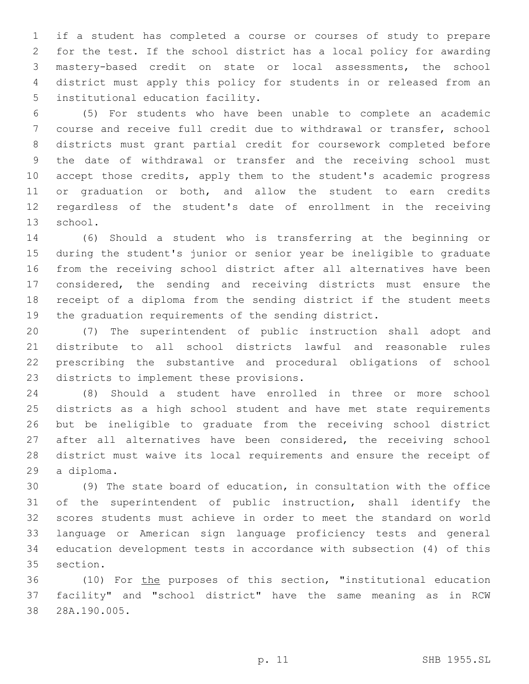if a student has completed a course or courses of study to prepare for the test. If the school district has a local policy for awarding mastery-based credit on state or local assessments, the school district must apply this policy for students in or released from an 5 institutional education facility.

 (5) For students who have been unable to complete an academic course and receive full credit due to withdrawal or transfer, school districts must grant partial credit for coursework completed before the date of withdrawal or transfer and the receiving school must accept those credits, apply them to the student's academic progress or graduation or both, and allow the student to earn credits regardless of the student's date of enrollment in the receiving 13 school.

 (6) Should a student who is transferring at the beginning or during the student's junior or senior year be ineligible to graduate from the receiving school district after all alternatives have been considered, the sending and receiving districts must ensure the receipt of a diploma from the sending district if the student meets the graduation requirements of the sending district.

 (7) The superintendent of public instruction shall adopt and distribute to all school districts lawful and reasonable rules prescribing the substantive and procedural obligations of school 23 districts to implement these provisions.

 (8) Should a student have enrolled in three or more school districts as a high school student and have met state requirements but be ineligible to graduate from the receiving school district 27 after all alternatives have been considered, the receiving school district must waive its local requirements and ensure the receipt of 29 a diploma.

 (9) The state board of education, in consultation with the office of the superintendent of public instruction, shall identify the scores students must achieve in order to meet the standard on world language or American sign language proficiency tests and general education development tests in accordance with subsection (4) of this 35 section.

 (10) For the purposes of this section, "institutional education facility" and "school district" have the same meaning as in RCW 28A.190.005.38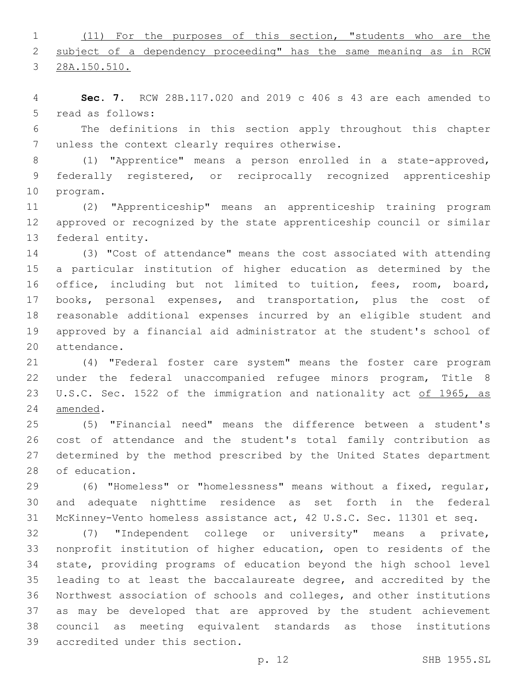(11) For the purposes of this section, "students who are the 2 subject of a dependency proceeding" has the same meaning as in RCW

28A.150.510.

 **Sec. 7.** RCW 28B.117.020 and 2019 c 406 s 43 are each amended to 5 read as follows:

 The definitions in this section apply throughout this chapter 7 unless the context clearly requires otherwise.

 (1) "Apprentice" means a person enrolled in a state-approved, federally registered, or reciprocally recognized apprenticeship 10 program.

 (2) "Apprenticeship" means an apprenticeship training program approved or recognized by the state apprenticeship council or similar 13 federal entity.

 (3) "Cost of attendance" means the cost associated with attending a particular institution of higher education as determined by the office, including but not limited to tuition, fees, room, board, books, personal expenses, and transportation, plus the cost of reasonable additional expenses incurred by an eligible student and approved by a financial aid administrator at the student's school of 20 attendance.

 (4) "Federal foster care system" means the foster care program under the federal unaccompanied refugee minors program, Title 8 23 U.S.C. Sec. 1522 of the immigration and nationality act of 1965, as 24 amended.

 (5) "Financial need" means the difference between a student's cost of attendance and the student's total family contribution as determined by the method prescribed by the United States department 28 of education.

 (6) "Homeless" or "homelessness" means without a fixed, regular, and adequate nighttime residence as set forth in the federal McKinney-Vento homeless assistance act, 42 U.S.C. Sec. 11301 et seq.

 (7) "Independent college or university" means a private, nonprofit institution of higher education, open to residents of the state, providing programs of education beyond the high school level leading to at least the baccalaureate degree, and accredited by the Northwest association of schools and colleges, and other institutions as may be developed that are approved by the student achievement council as meeting equivalent standards as those institutions 39 accredited under this section.

p. 12 SHB 1955.SL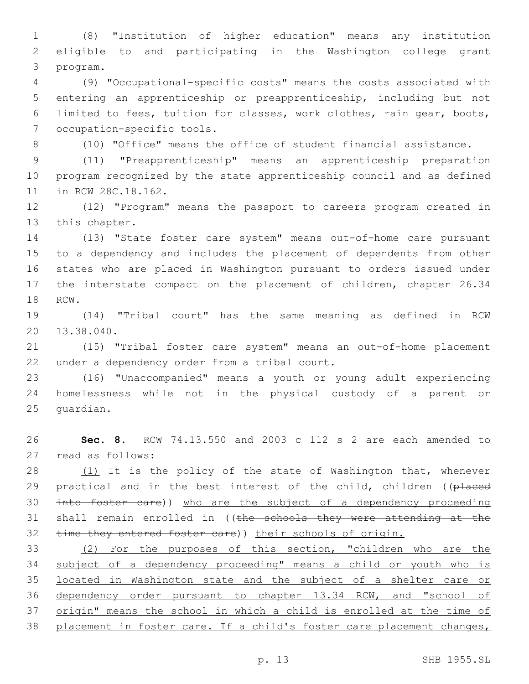(8) "Institution of higher education" means any institution eligible to and participating in the Washington college grant 3 program.

 (9) "Occupational-specific costs" means the costs associated with entering an apprenticeship or preapprenticeship, including but not limited to fees, tuition for classes, work clothes, rain gear, boots, 7 occupation-specific tools.

(10) "Office" means the office of student financial assistance.

 (11) "Preapprenticeship" means an apprenticeship preparation program recognized by the state apprenticeship council and as defined 11 in RCW 28C.18.162.

 (12) "Program" means the passport to careers program created in 13 this chapter.

 (13) "State foster care system" means out-of-home care pursuant to a dependency and includes the placement of dependents from other states who are placed in Washington pursuant to orders issued under the interstate compact on the placement of children, chapter 26.34 18 RCW.

 (14) "Tribal court" has the same meaning as defined in RCW 20 13.38.040.

 (15) "Tribal foster care system" means an out-of-home placement 22 under a dependency order from a tribal court.

 (16) "Unaccompanied" means a youth or young adult experiencing homelessness while not in the physical custody of a parent or 25 quardian.

 **Sec. 8.** RCW 74.13.550 and 2003 c 112 s 2 are each amended to 27 read as follows:

28 (1) It is the policy of the state of Washington that, whenever 29 practical and in the best interest of the child, children ((placed into foster care)) who are the subject of a dependency proceeding 31 shall remain enrolled in ((the schools they were attending at the 32 time they entered foster care)) their schools of origin.

 (2) For the purposes of this section, "children who are the subject of a dependency proceeding" means a child or youth who is located in Washington state and the subject of a shelter care or dependency order pursuant to chapter 13.34 RCW, and "school of 37 origin" means the school in which a child is enrolled at the time of placement in foster care. If a child's foster care placement changes,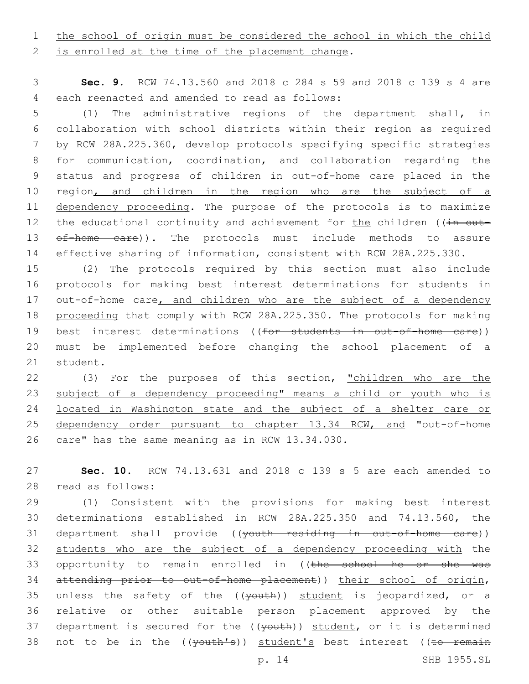1 the school of origin must be considered the school in which the child

2 is enrolled at the time of the placement change.

3 **Sec. 9.** RCW 74.13.560 and 2018 c 284 s 59 and 2018 c 139 s 4 are each reenacted and amended to read as follows:4

 (1) The administrative regions of the department shall, in collaboration with school districts within their region as required by RCW 28A.225.360, develop protocols specifying specific strategies for communication, coordination, and collaboration regarding the status and progress of children in out-of-home care placed in the 10 region, and children in the region who are the subject of a dependency proceeding. The purpose of the protocols is to maximize 12 the educational continuity and achievement for the children ((in out-13 of-home care)). The protocols must include methods to assure effective sharing of information, consistent with RCW 28A.225.330.

15 (2) The protocols required by this section must also include 16 protocols for making best interest determinations for students in 17 out-of-home care, and children who are the subject of a dependency 18 proceeding that comply with RCW 28A.225.350. The protocols for making 19 best interest determinations ((for students in out-of-home care)) 20 must be implemented before changing the school placement of a 21 student.

22 (3) For the purposes of this section, "children who are the 23 subject of a dependency proceeding" means a child or youth who is 24 located in Washington state and the subject of a shelter care or 25 dependency order pursuant to chapter 13.34 RCW, and "out-of-home 26 care" has the same meaning as in RCW 13.34.030.

27 **Sec. 10.** RCW 74.13.631 and 2018 c 139 s 5 are each amended to 28 read as follows:

29 (1) Consistent with the provisions for making best interest 30 determinations established in RCW 28A.225.350 and 74.13.560, the 31 department shall provide ((youth residing in out-of-home care)) 32 students who are the subject of a dependency proceeding with the 33 opportunity to remain enrolled in ((the school he or she was 34 attending prior to out-of-home placement)) their school of origin, 35 unless the safety of the  $((\text{youth}))$  student is jeopardized, or a 36 relative or other suitable person placement approved by the 37 department is secured for the ((youth)) student, or it is determined 38 not to be in the ((youth's)) student's best interest ((to remain

p. 14 SHB 1955.SL